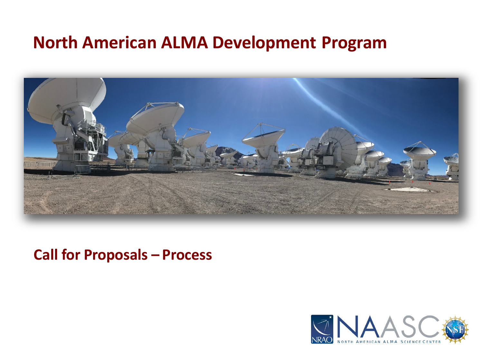### **North American ALMA Development Program**



### **Call for Proposals – Process**

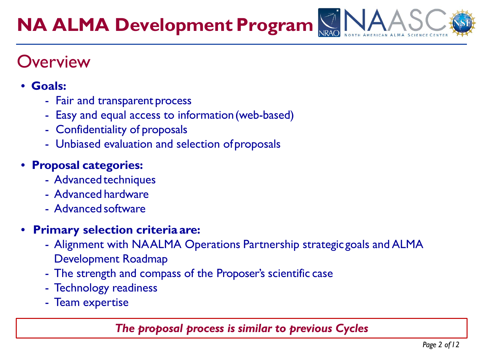### **Overview**

#### • **Goals:**

- Fair and transparent process
- Easy and equal access to information(web-based)
- Confidentiality of proposals
- Unbiased evaluation and selection ofproposals

### • **Proposal categories:**

- Advanced techniques
- Advanced hardware
- Advanced software

#### • **Primary selection criteria are:**

- Alignment with NAALMA Operations Partnership strategicgoals and ALMA Development Roadmap
- The strength and compass of the Proposer's scientific case
- Technology readiness
- Team expertise

#### *The proposal process is similar to previous Cycles*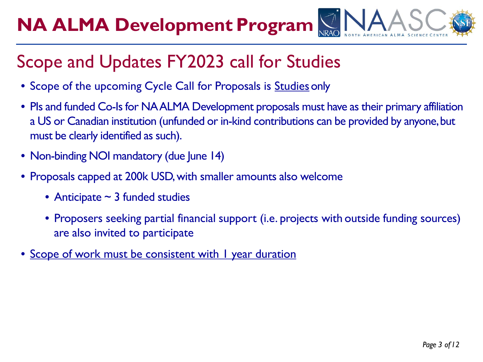### Scope and Updates FY2023 call for Studies

- Scope of the upcoming Cycle Call for Proposals is Studies only
- PIs and funded Co-Is for NA ALMA Development proposals must have as their primary affiliation a US or Canadian institution (unfunded or in-kind contributions can be provided by anyone, but must be clearly identified as such).
- Non-binding NOI mandatory (due June 14)
- Proposals capped at 200k USD, with smaller amounts also welcome
	- Anticipate  $\sim$  3 funded studies
	- Proposers seeking partial financial support (i.e. projects with outside funding sources) are also invited to participate
- Scope of work must be consistent with I year duration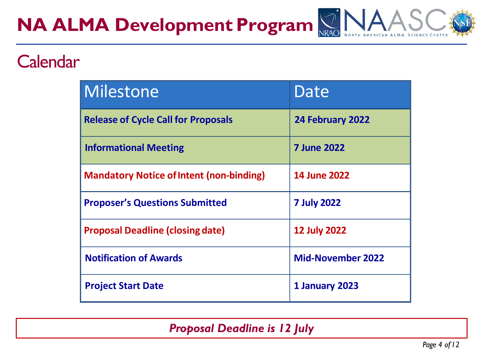### **Calendar**

| Milestone                                       | Date                     |
|-------------------------------------------------|--------------------------|
| <b>Release of Cycle Call for Proposals</b>      | 24 February 2022         |
| <b>Informational Meeting</b>                    | <b>7 June 2022</b>       |
| <b>Mandatory Notice of Intent (non-binding)</b> | <b>14 June 2022</b>      |
| <b>Proposer's Questions Submitted</b>           | <b>7 July 2022</b>       |
| <b>Proposal Deadline (closing date)</b>         | <b>12 July 2022</b>      |
| <b>Notification of Awards</b>                   | <b>Mid-November 2022</b> |
| <b>Project Start Date</b>                       | 1 January 2023           |

*Proposal Deadline is 12 July*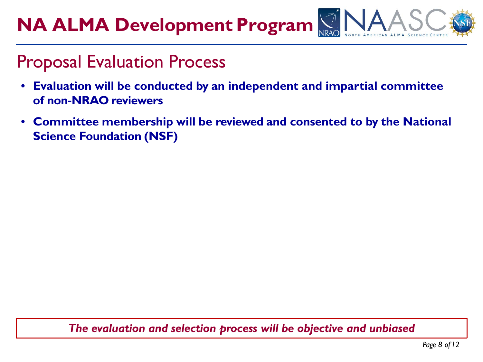### Proposal Evaluation Process

- **Evaluation will be conducted by an independent and impartial committee of non-NRAO reviewers**
- **Committee membership will be reviewed and consented to by the National Science Foundation (NSF)**

#### *The evaluation and selection process will be objective and unbiased*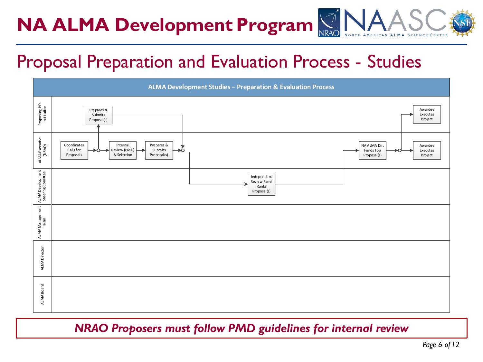### Proposal Preparation and Evaluation Process - Studies



#### *NRAO Proposers must follow PMD guidelines for internal review*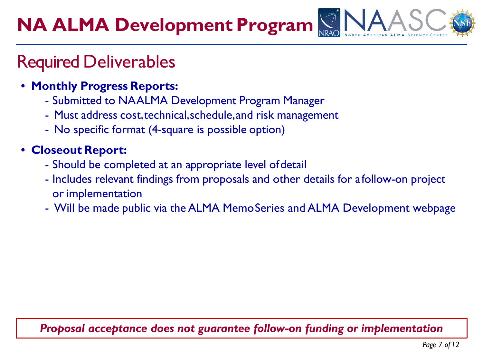### Required Deliverables

- **Monthly Progress Reports:**
	- Submitted to NAALMA Development Program Manager
	- Must address cost,technical,schedule,and risk management
	- No specific format (4-square is possible option)

### • **Closeout Report:**

- Should be completed at an appropriate level ofdetail
- Includes relevant findings from proposals and other details for afollow-on project or implementation
- Will be made public via the ALMA MemoSeries and ALMA Development webpage

### *Proposal acceptance does not guarantee follow-on funding or implementation*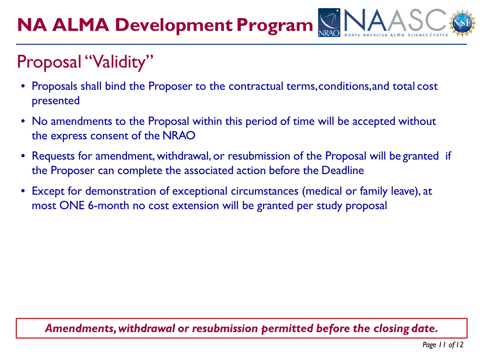## Proposal "Validity"

- Proposals shall bind the Proposer to the contractual terms,conditions,and total cost presented
- No amendments to the Proposal within this period of time will be accepted without the express consent of the NRAO
- Requests for amendment, withdrawal, or resubmission of the Proposal will be granted if the Proposer can complete the associated action before the Deadline
- Except for demonstration of exceptional circumstances (medical or family leave), at most ONE 6-month no cost extension will be granted per study proposal

#### *Amendments,withdrawal or resubmission permitted before the closing date.*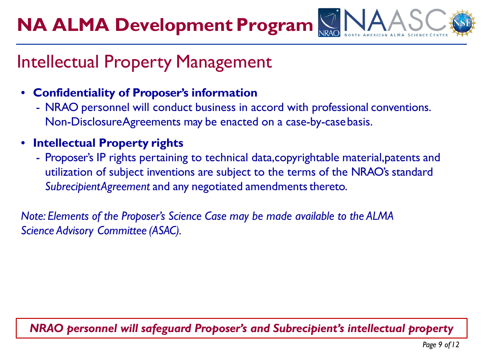### Intellectual Property Management

- **Confidentiality of Proposer's information**
	- NRAO personnel will conduct business in accord with professional conventions. Non-DisclosureAgreements may be enacted on a case-by-casebasis.
- **Intellectual Property rights**
	- Proposer's IP rights pertaining to technical data,copyrightable material,patents and utilization of subject inventions are subject to the terms of the NRAO's standard SubrecipientAgreement and any negotiated amendments thereto.

*Note: Elements of the Proposer's Science Case may be made available to the ALMA Science Advisory Committee (ASAC).*

### *NRAO personnel will safeguard Proposer's and Subrecipient's intellectual property*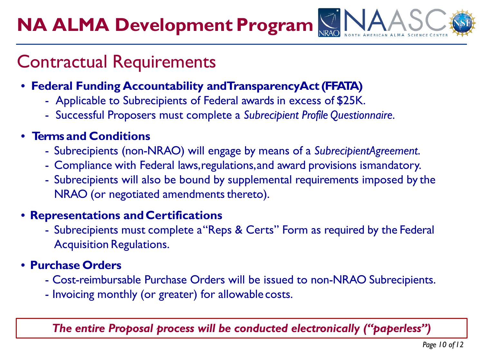### Contractual Requirements

- **Federal Funding Accountability andTransparencyAct (FFATA)**
	- Applicable to Subrecipients of Federal awards in excess of \$25K.
	- Successful Proposers must complete a *Subrecipient Profile Questionnaire.*

#### • **Terms and Conditions**

- Subrecipients (non-NRAO) will engage by means of a *SubrecipientAgreement*.
- Compliance with Federal laws,regulations,and award provisions ismandatory.
- Subrecipients will also be bound by supplemental requirements imposed by the NRAO (or negotiated amendments thereto).

#### • **Representations andCertifications**

- Subrecipients must complete a"Reps & Certs" Form as required by the Federal Acquisition Regulations.

#### • **Purchase Orders**

- Cost-reimbursable Purchase Orders will be issued to non-NRAO Subrecipients.
- Invoicing monthly (or greater) for allowable costs.

*The entire Proposal process will be conducted electronically ("paperless")*